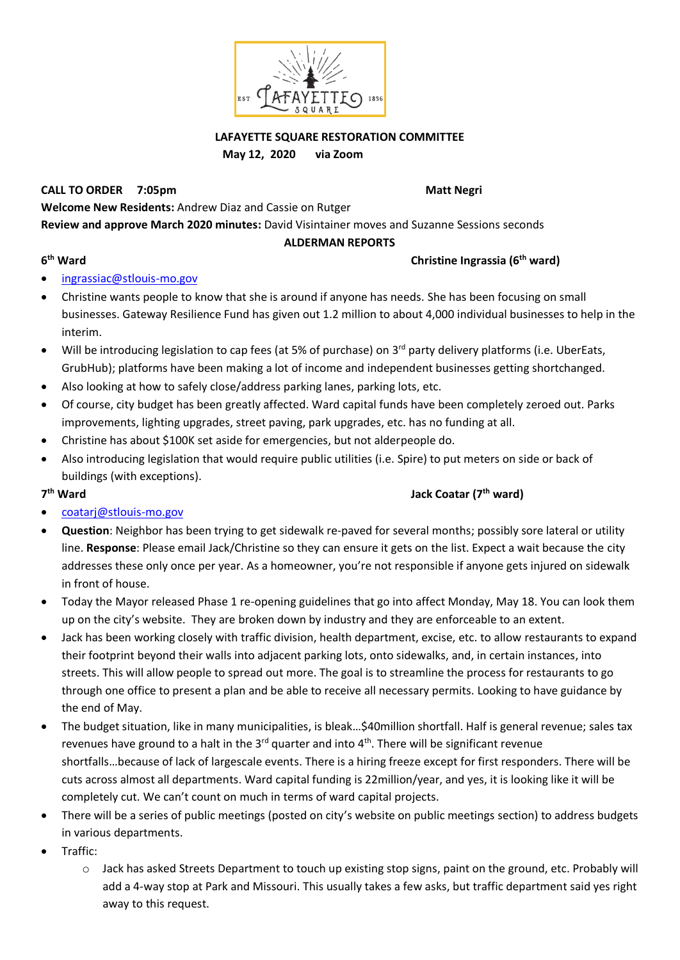

## **LAFAYETTE SQUARE RESTORATION COMMITTEE May 12, 2020 via Zoom**

## **CALL TO ORDER 7:05pm Matt Negri** New York 2012 10:00 Matt Negri

**Welcome New Residents:** Andrew Diaz and Cassie on Rutger

**Review and approve March 2020 minutes:** David Visintainer moves and Suzanne Sessions seconds

### **ALDERMAN REPORTS**

### **6**

### **th Ward Christine Ingrassia (6th ward)**

- [ingrassiac@stlouis-mo.gov](mailto:ingrassiac@stlouis-mo.gov)
- Christine wants people to know that she is around if anyone has needs. She has been focusing on small businesses. Gateway Resilience Fund has given out 1.2 million to about 4,000 individual businesses to help in the interim.
- Will be introducing legislation to cap fees (at 5% of purchase) on 3<sup>rd</sup> party delivery platforms (i.e. UberEats, GrubHub); platforms have been making a lot of income and independent businesses getting shortchanged.
- Also looking at how to safely close/address parking lanes, parking lots, etc.
- Of course, city budget has been greatly affected. Ward capital funds have been completely zeroed out. Parks improvements, lighting upgrades, street paving, park upgrades, etc. has no funding at all.
- Christine has about \$100K set aside for emergencies, but not alderpeople do.
- Also introducing legislation that would require public utilities (i.e. Spire) to put meters on side or back of buildings (with exceptions).

### 7<sup>th</sup> Ward

# **th Ward Jack Coatar (7th ward)**

- [coatarj@stlouis-mo.gov](mailto:coatarj@stlouis-mo.gov)
- **Question**: Neighbor has been trying to get sidewalk re-paved for several months; possibly sore lateral or utility line. **Response**: Please email Jack/Christine so they can ensure it gets on the list. Expect a wait because the city addresses these only once per year. As a homeowner, you're not responsible if anyone gets injured on sidewalk in front of house.
- Today the Mayor released Phase 1 re-opening guidelines that go into affect Monday, May 18. You can look them up on the city's website. They are broken down by industry and they are enforceable to an extent.
- Jack has been working closely with traffic division, health department, excise, etc. to allow restaurants to expand their footprint beyond their walls into adjacent parking lots, onto sidewalks, and, in certain instances, into streets. This will allow people to spread out more. The goal is to streamline the process for restaurants to go through one office to present a plan and be able to receive all necessary permits. Looking to have guidance by the end of May.
- The budget situation, like in many municipalities, is bleak…\$40million shortfall. Half is general revenue; sales tax revenues have ground to a halt in the  $3<sup>rd</sup>$  quarter and into  $4<sup>th</sup>$ . There will be significant revenue shortfalls…because of lack of largescale events. There is a hiring freeze except for first responders. There will be cuts across almost all departments. Ward capital funding is 22million/year, and yes, it is looking like it will be completely cut. We can't count on much in terms of ward capital projects.
- There will be a series of public meetings (posted on city's website on public meetings section) to address budgets in various departments.
- Traffic:
	- o Jack has asked Streets Department to touch up existing stop signs, paint on the ground, etc. Probably will add a 4-way stop at Park and Missouri. This usually takes a few asks, but traffic department said yes right away to this request.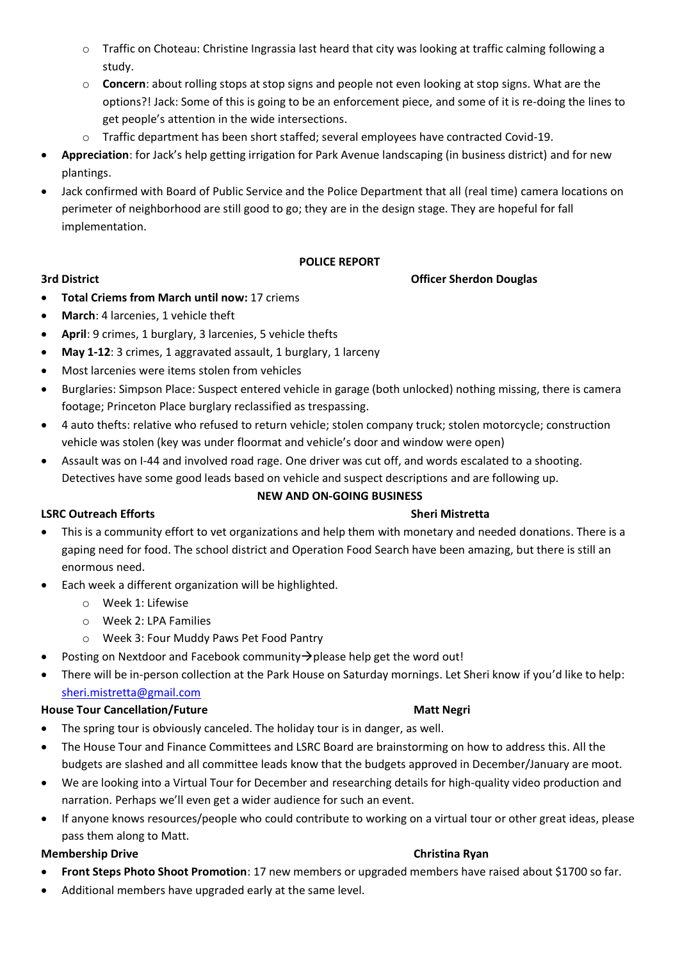- o Traffic on Choteau: Christine Ingrassia last heard that city was looking at traffic calming following a study.
- o **Concern**: about rolling stops at stop signs and people not even looking at stop signs. What are the options?! Jack: Some of this is going to be an enforcement piece, and some of it is re-doing the lines to get people's attention in the wide intersections.
- $\circ$  Traffic department has been short staffed; several employees have contracted Covid-19.
- **Appreciation**: for Jack's help getting irrigation for Park Avenue landscaping (in business district) and for new plantings.
- Jack confirmed with Board of Public Service and the Police Department that all (real time) camera locations on perimeter of neighborhood are still good to go; they are in the design stage. They are hopeful for fall implementation.

# **POLICE REPORT**

## **3rd District Officer Sherdon Douglas**

- **Total Criems from March until now:** 17 criems
- **March**: 4 larcenies, 1 vehicle theft
- **April**: 9 crimes, 1 burglary, 3 larcenies, 5 vehicle thefts
- **May 1-12**: 3 crimes, 1 aggravated assault, 1 burglary, 1 larceny
- Most larcenies were items stolen from vehicles
- Burglaries: Simpson Place: Suspect entered vehicle in garage (both unlocked) nothing missing, there is camera footage; Princeton Place burglary reclassified as trespassing.
- 4 auto thefts: relative who refused to return vehicle; stolen company truck; stolen motorcycle; construction vehicle was stolen (key was under floormat and vehicle's door and window were open)
- Assault was on I-44 and involved road rage. One driver was cut off, and words escalated to a shooting. Detectives have some good leads based on vehicle and suspect descriptions and are following up.

### **NEW AND ON-GOING BUSINESS**

# **LSRC Outreach Efforts** Sheri Mistretta Sheri Mistretta Sheri Mistretta Sheri Mistretta Sheri Mistretta Sheri Mistretta Sheri Mistretta Sheri Mistretta Sheri Mistretta Sheri Mistretta Sheri Mistretta Sheri Mistretta Sheri

- This is a community effort to vet organizations and help them with monetary and needed donations. There is a gaping need for food. The school district and Operation Food Search have been amazing, but there is still an enormous need.
- Each week a different organization will be highlighted.
	- o Week 1: Lifewise
	- o Week 2: LPA Families
	- o Week 3: Four Muddy Paws Pet Food Pantry
- Posting on Nextdoor and Facebook community→please help get the word out!
- There will be in-person collection at the Park House on Saturday mornings. Let Sheri know if you'd like to help: [sheri.mistretta@gmail.com](mailto:sheri.mistretta@gmail.com)

### **House Tour Cancellation/Future Matt Negrian Construction Cancellation/Future Matt Negrian Construction Construction**

- The spring tour is obviously canceled. The holiday tour is in danger, as well.
- The House Tour and Finance Committees and LSRC Board are brainstorming on how to address this. All the budgets are slashed and all committee leads know that the budgets approved in December/January are moot.
- We are looking into a Virtual Tour for December and researching details for high-quality video production and narration. Perhaps we'll even get a wider audience for such an event.
- If anyone knows resources/people who could contribute to working on a virtual tour or other great ideas, please pass them along to Matt.

### **Membership Drive Christina Ryan**

- **Front Steps Photo Shoot Promotion**: 17 new members or upgraded members have raised about \$1700 so far.
- Additional members have upgraded early at the same level.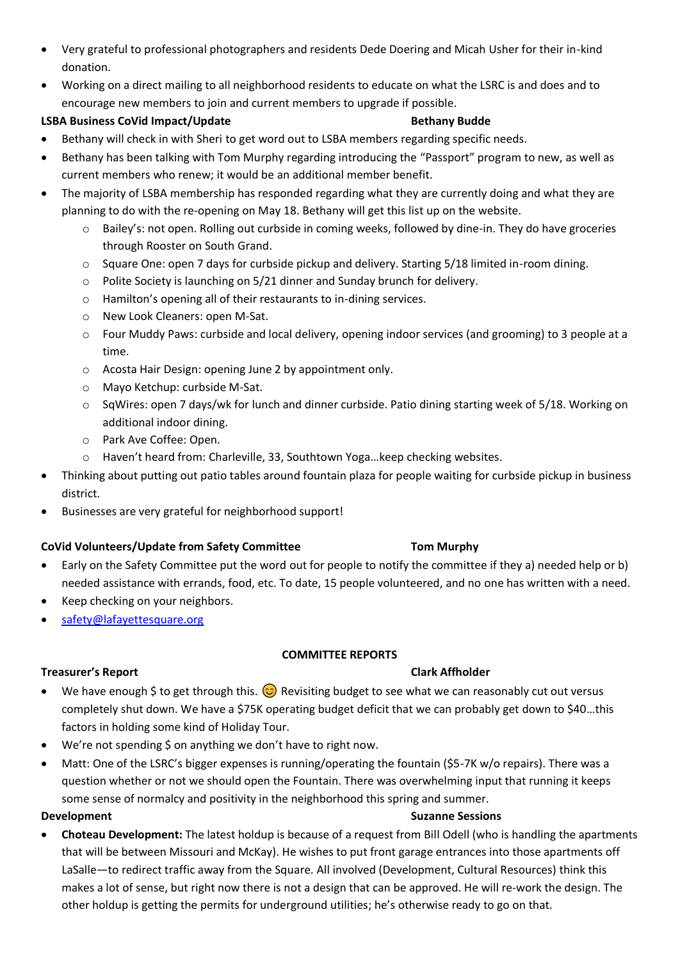- Very grateful to professional photographers and residents Dede Doering and Micah Usher for their in-kind donation.
- Working on a direct mailing to all neighborhood residents to educate on what the LSRC is and does and to encourage new members to join and current members to upgrade if possible.

# **LSBA Business CoVid Impact/Update Cover and Bethany Budde**

- Bethany will check in with Sheri to get word out to LSBA members regarding specific needs.
- Bethany has been talking with Tom Murphy regarding introducing the "Passport" program to new, as well as current members who renew; it would be an additional member benefit.
- The majority of LSBA membership has responded regarding what they are currently doing and what they are planning to do with the re-opening on May 18. Bethany will get this list up on the website.
	- o Bailey's: not open. Rolling out curbside in coming weeks, followed by dine-in. They do have groceries through Rooster on South Grand.
	- o Square One: open 7 days for curbside pickup and delivery. Starting 5/18 limited in-room dining.
	- o Polite Society is launching on 5/21 dinner and Sunday brunch for delivery.
	- o Hamilton's opening all of their restaurants to in-dining services.
	- o New Look Cleaners: open M-Sat.
	- o Four Muddy Paws: curbside and local delivery, opening indoor services (and grooming) to 3 people at a time.
	- o Acosta Hair Design: opening June 2 by appointment only.
	- o Mayo Ketchup: curbside M-Sat.
	- o SqWires: open 7 days/wk for lunch and dinner curbside. Patio dining starting week of 5/18. Working on additional indoor dining.
	- o Park Ave Coffee: Open.
	- o Haven't heard from: Charleville, 33, Southtown Yoga…keep checking websites.
- Thinking about putting out patio tables around fountain plaza for people waiting for curbside pickup in business district.
- Businesses are very grateful for neighborhood support!

# **CoVid Volunteers/Update from Safety Committee Tom Murphy**

- Early on the Safety Committee put the word out for people to notify the committee if they a) needed help or b) needed assistance with errands, food, etc. To date, 15 people volunteered, and no one has written with a need.
- Keep checking on your neighbors.
- [safety@lafayettesquare.org](mailto:safety@lafayettesquare.org)

# **COMMITTEE REPORTS**

# **Treasurer's Report Clark Affholder**

- We have enough \$ to get through this.  $\odot$  Revisiting budget to see what we can reasonably cut out versus completely shut down. We have a \$75K operating budget deficit that we can probably get down to \$40…this factors in holding some kind of Holiday Tour.
- We're not spending \$ on anything we don't have to right now.
- Matt: One of the LSRC's bigger expenses is running/operating the fountain (\$5-7K w/o repairs). There was a question whether or not we should open the Fountain. There was overwhelming input that running it keeps some sense of normalcy and positivity in the neighborhood this spring and summer.

# **Development** Suzanne Sessions and Suzanne Sessions and Suzanne Sessions in the Suzanne Sessions of Suzanne Sessions and Suzanne Sessions of Suzanne Sessions and Suzanne Sessions of Suzanne Sessions and Suzanne Sessions of

• **Choteau Development:** The latest holdup is because of a request from Bill Odell (who is handling the apartments that will be between Missouri and McKay). He wishes to put front garage entrances into those apartments off LaSalle—to redirect traffic away from the Square. All involved (Development, Cultural Resources) think this makes a lot of sense, but right now there is not a design that can be approved. He will re-work the design. The other holdup is getting the permits for underground utilities; he's otherwise ready to go on that.